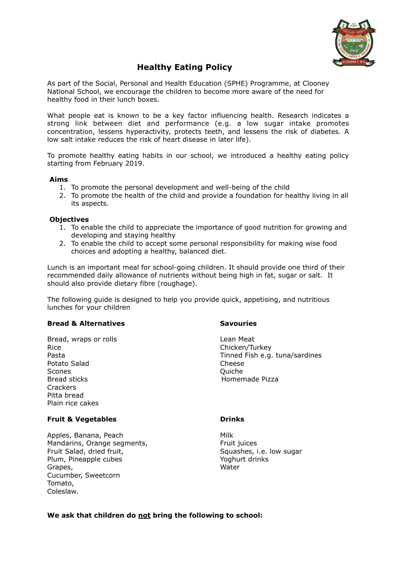

# **Healthy Eating Policy**

As part of the Social, Personal and Health Education (SPHE) Programme, at Clooney National School, we encourage the children to become more aware of the need for healthy food in their lunch boxes.

What people eat is known to be a key factor influencing health. Research indicates a strong link between diet and performance (e.g. a low sugar intake promotes concentration, lessens hyperactivity, protects teeth, and lessens the risk of diabetes. A low salt intake reduces the risk of heart disease in later life).

To promote healthy eating habits in our school, we introduced a healthy eating policy starting from February 2019.

# **Aims**

- 1. To promote the personal development and well-being of the child
- 2. To promote the health of the child and provide a foundation for healthy living in all its aspects.

# **Objectives**

- 1. To enable the child to appreciate the importance of good nutrition for growing and developing and staying healthy
- 2. To enable the child to accept some personal responsibility for making wise food choices and adopting a healthy, balanced diet.

Lunch is an important meal for school-going children. It should provide one third of their recommended daily allowance of nutrients without being high in fat, sugar or salt. It should also provide dietary fibre (roughage).

The following guide is designed to help you provide quick, appetising, and nutritious lunches for your children

# **Bread & Alternatives Savouries**

Bread, wraps or rolls and the control of the Lean Meat Rice **Chicken/Turkey** Potato Salad Cheese Scones **Contract Contract Contract Contract Contract Contract Contract Contract Contract Contract Contract Contract Contract Contract Contract Contract Contract Contract Contract Contract Contract Contract Contract Contrac** Bread sticks **Homemade Pizza** Crackers Pitta bread Plain rice cakes

# **Fruit & Vegetables Drinks**

Apples, Banana, Peach Milk Mandarins, Orange segments, The Mandarins of the Second Pruit incestigation of the Mandarins of the Mandarins Fruit Salad, dried fruit, The Squashes, i.e. low sugar Plum, Pineapple cubes The Control of the Yoghurt drinks Grapes, Water Cucumber, Sweetcorn Tomato, Coleslaw.

Pasta Tinned Fish e.g. tuna/sardines

# **We ask that children do not bring the following to school:**